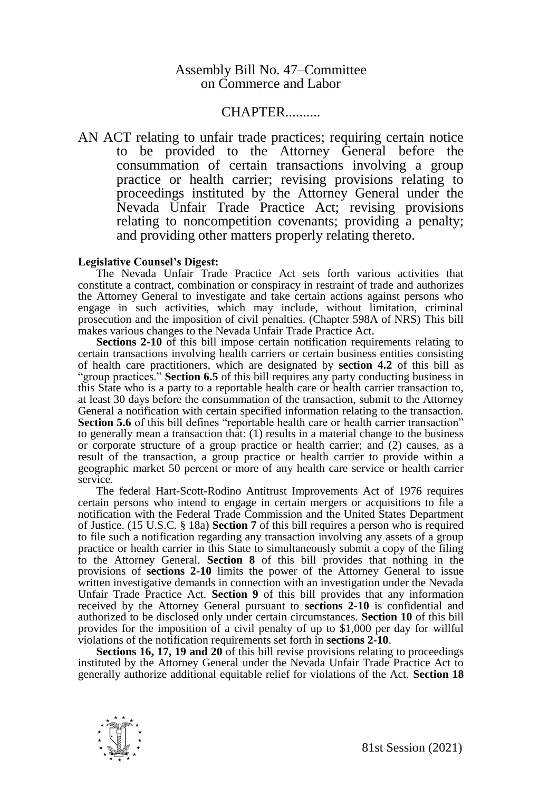## Assembly Bill No. 47–Committee on Commerce and Labor

## CHAPTER..........

AN ACT relating to unfair trade practices; requiring certain notice to be provided to the Attorney General before the consummation of certain transactions involving a group practice or health carrier; revising provisions relating to proceedings instituted by the Attorney General under the Nevada Unfair Trade Practice Act; revising provisions relating to noncompetition covenants; providing a penalty; and providing other matters properly relating thereto.

## **Legislative Counsel's Digest:**

The Nevada Unfair Trade Practice Act sets forth various activities that constitute a contract, combination or conspiracy in restraint of trade and authorizes the Attorney General to investigate and take certain actions against persons who engage in such activities, which may include, without limitation, criminal prosecution and the imposition of civil penalties. (Chapter 598A of NRS) This bill makes various changes to the Nevada Unfair Trade Practice Act.

**Sections 2-10** of this bill impose certain notification requirements relating to certain transactions involving health carriers or certain business entities consisting of health care practitioners, which are designated by **section 4.2** of this bill as "group practices." **Section 6.5** of this bill requires any party conducting business in this State who is a party to a reportable health care or health carrier transaction to, at least 30 days before the consummation of the transaction, submit to the Attorney General a notification with certain specified information relating to the transaction. **Section 5.6** of this bill defines "reportable health care or health carrier transaction" to generally mean a transaction that: (1) results in a material change to the business or corporate structure of a group practice or health carrier; and (2) causes, as a result of the transaction, a group practice or health carrier to provide within a geographic market 50 percent or more of any health care service or health carrier service.

The federal Hart-Scott-Rodino Antitrust Improvements Act of 1976 requires certain persons who intend to engage in certain mergers or acquisitions to file a notification with the Federal Trade Commission and the United States Department of Justice. (15 U.S.C. § 18a) **Section 7** of this bill requires a person who is required to file such a notification regarding any transaction involving any assets of a group practice or health carrier in this State to simultaneously submit a copy of the filing to the Attorney General. **Section 8** of this bill provides that nothing in the provisions of **sections 2-10** limits the power of the Attorney General to issue written investigative demands in connection with an investigation under the Nevada Unfair Trade Practice Act. **Section 9** of this bill provides that any information received by the Attorney General pursuant to **sections 2-10** is confidential and authorized to be disclosed only under certain circumstances. **Section 10** of this bill provides for the imposition of a civil penalty of up to \$1,000 per day for willful violations of the notification requirements set forth in **sections 2-10**.

**Sections 16, 17, 19 and 20** of this bill revise provisions relating to proceedings instituted by the Attorney General under the Nevada Unfair Trade Practice Act to generally authorize additional equitable relief for violations of the Act. **Section 18**

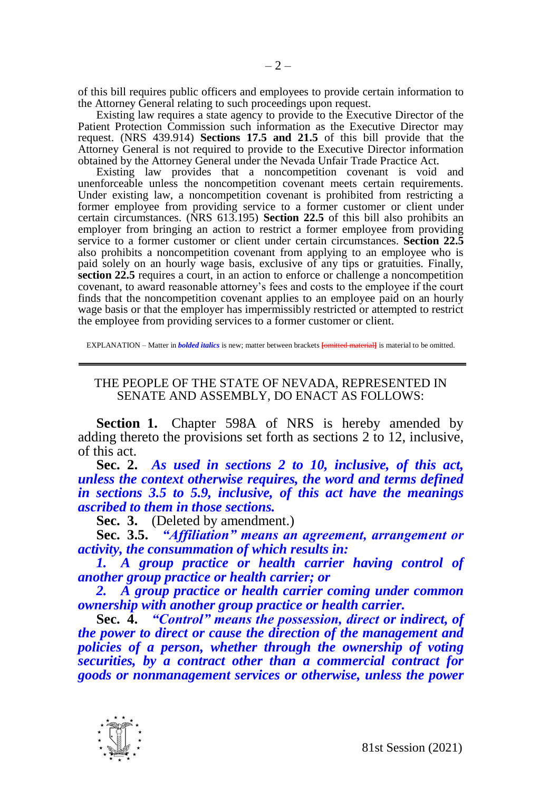of this bill requires public officers and employees to provide certain information to the Attorney General relating to such proceedings upon request.

Existing law requires a state agency to provide to the Executive Director of the Patient Protection Commission such information as the Executive Director may request. (NRS 439.914) **Sections 17.5 and 21.5** of this bill provide that the Attorney General is not required to provide to the Executive Director information obtained by the Attorney General under the Nevada Unfair Trade Practice Act.

Existing law provides that a noncompetition covenant is void and unenforceable unless the noncompetition covenant meets certain requirements. Under existing law, a noncompetition covenant is prohibited from restricting a former employee from providing service to a former customer or client under certain circumstances. (NRS 613.195) **Section 22.5** of this bill also prohibits an employer from bringing an action to restrict a former employee from providing service to a former customer or client under certain circumstances. **Section 22.5** also prohibits a noncompetition covenant from applying to an employee who is paid solely on an hourly wage basis, exclusive of any tips or gratuities. Finally, **section 22.5** requires a court, in an action to enforce or challenge a noncompetition covenant, to award reasonable attorney's fees and costs to the employee if the court finds that the noncompetition covenant applies to an employee paid on an hourly wage basis or that the employer has impermissibly restricted or attempted to restrict the employee from providing services to a former customer or client.

EXPLANATION – Matter in *bolded italics* is new; matter between brackets **[**omitted material**]** is material to be omitted.

## THE PEOPLE OF THE STATE OF NEVADA, REPRESENTED IN SENATE AND ASSEMBLY, DO ENACT AS FOLLOWS:

**Section 1.** Chapter 598A of NRS is hereby amended by adding thereto the provisions set forth as sections 2 to 12, inclusive, of this act.

**Sec. 2.** *As used in sections 2 to 10, inclusive, of this act, unless the context otherwise requires, the word and terms defined in sections 3.5 to 5.9, inclusive, of this act have the meanings ascribed to them in those sections.*

**Sec. 3.** (Deleted by amendment.)

**Sec. 3.5.** *"Affiliation" means an agreement, arrangement or activity, the consummation of which results in:*

*1. A group practice or health carrier having control of another group practice or health carrier; or*

*2. A group practice or health carrier coming under common ownership with another group practice or health carrier.*

**Sec. 4.** *"Control" means the possession, direct or indirect, of the power to direct or cause the direction of the management and policies of a person, whether through the ownership of voting securities, by a contract other than a commercial contract for goods or nonmanagement services or otherwise, unless the power* 

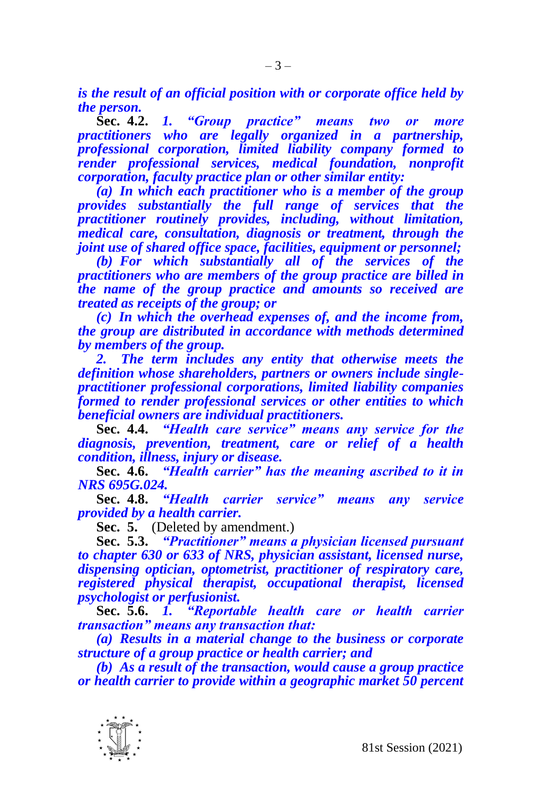*is the result of an official position with or corporate office held by the person.*

**Sec. 4.2.** *1. "Group practice" means two or more practitioners who are legally organized in a partnership, professional corporation, limited liability company formed to render professional services, medical foundation, nonprofit corporation, faculty practice plan or other similar entity:*

*(a) In which each practitioner who is a member of the group provides substantially the full range of services that the practitioner routinely provides, including, without limitation, medical care, consultation, diagnosis or treatment, through the joint use of shared office space, facilities, equipment or personnel;*

*(b) For which substantially all of the services of the practitioners who are members of the group practice are billed in the name of the group practice and amounts so received are treated as receipts of the group; or*

*(c) In which the overhead expenses of, and the income from, the group are distributed in accordance with methods determined by members of the group.*

*2. The term includes any entity that otherwise meets the definition whose shareholders, partners or owners include singlepractitioner professional corporations, limited liability companies formed to render professional services or other entities to which beneficial owners are individual practitioners.*

**Sec. 4.4.** *"Health care service" means any service for the diagnosis, prevention, treatment, care or relief of a health condition, illness, injury or disease.*

**Sec. 4.6.** *"Health carrier" has the meaning ascribed to it in NRS 695G.024.*

**Sec. 4.8.** *"Health carrier service" means any service provided by a health carrier.*

**Sec. 5.** (Deleted by amendment.)

**Sec. 5.3.** *"Practitioner" means a physician licensed pursuant to chapter 630 or 633 of NRS, physician assistant, licensed nurse, dispensing optician, optometrist, practitioner of respiratory care, registered physical therapist, occupational therapist, licensed psychologist or perfusionist.*

**Sec. 5.6.** *1. "Reportable health care or health carrier transaction" means any transaction that:*

*(a) Results in a material change to the business or corporate structure of a group practice or health carrier; and*

*(b) As a result of the transaction, would cause a group practice or health carrier to provide within a geographic market 50 percent* 

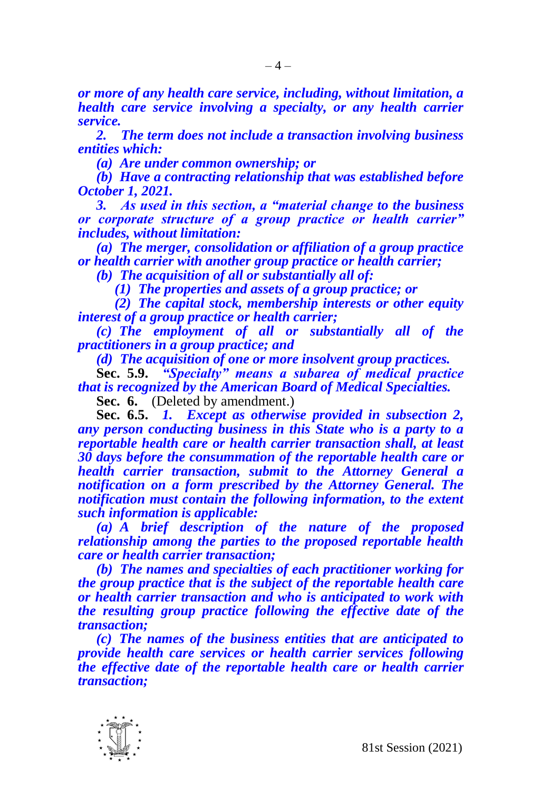*or more of any health care service, including, without limitation, a health care service involving a specialty, or any health carrier service.*

*2. The term does not include a transaction involving business entities which:*

*(a) Are under common ownership; or*

*(b) Have a contracting relationship that was established before October 1, 2021.*

*3. As used in this section, a "material change to the business or corporate structure of a group practice or health carrier" includes, without limitation:*

*(a) The merger, consolidation or affiliation of a group practice or health carrier with another group practice or health carrier;* 

*(b) The acquisition of all or substantially all of:*

*(1) The properties and assets of a group practice; or* 

*(2) The capital stock, membership interests or other equity interest of a group practice or health carrier;*

*(c) The employment of all or substantially all of the practitioners in a group practice; and*

*(d) The acquisition of one or more insolvent group practices.*

**Sec. 5.9.** *"Specialty" means a subarea of medical practice that is recognized by the American Board of Medical Specialties.*

**Sec. 6.** (Deleted by amendment.)

**Sec. 6.5.** *1. Except as otherwise provided in subsection 2, any person conducting business in this State who is a party to a reportable health care or health carrier transaction shall, at least 30 days before the consummation of the reportable health care or health carrier transaction, submit to the Attorney General a notification on a form prescribed by the Attorney General. The notification must contain the following information, to the extent such information is applicable:*

*(a) A brief description of the nature of the proposed relationship among the parties to the proposed reportable health care or health carrier transaction;*

*(b) The names and specialties of each practitioner working for the group practice that is the subject of the reportable health care or health carrier transaction and who is anticipated to work with the resulting group practice following the effective date of the transaction;*

*(c) The names of the business entities that are anticipated to provide health care services or health carrier services following the effective date of the reportable health care or health carrier transaction;*

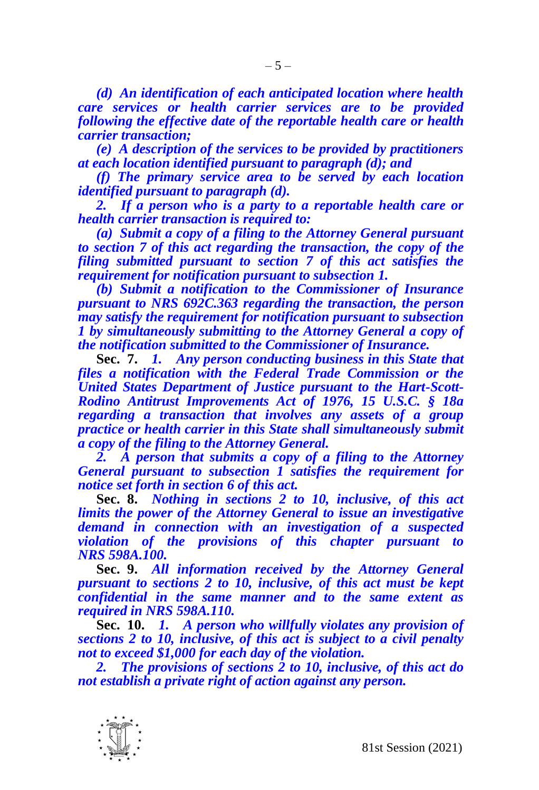*(d) An identification of each anticipated location where health care services or health carrier services are to be provided following the effective date of the reportable health care or health carrier transaction;*

*(e) A description of the services to be provided by practitioners at each location identified pursuant to paragraph (d); and*

*(f) The primary service area to be served by each location identified pursuant to paragraph (d).*

*2. If a person who is a party to a reportable health care or health carrier transaction is required to:*

*(a) Submit a copy of a filing to the Attorney General pursuant to section 7 of this act regarding the transaction, the copy of the filing submitted pursuant to section 7 of this act satisfies the requirement for notification pursuant to subsection 1.*

*(b) Submit a notification to the Commissioner of Insurance pursuant to NRS 692C.363 regarding the transaction, the person may satisfy the requirement for notification pursuant to subsection 1 by simultaneously submitting to the Attorney General a copy of the notification submitted to the Commissioner of Insurance.*

**Sec. 7.** *1. Any person conducting business in this State that files a notification with the Federal Trade Commission or the United States Department of Justice pursuant to the Hart-Scott-Rodino Antitrust Improvements Act of 1976, 15 U.S.C. § 18a regarding a transaction that involves any assets of a group practice or health carrier in this State shall simultaneously submit a copy of the filing to the Attorney General.*

*2. A person that submits a copy of a filing to the Attorney General pursuant to subsection 1 satisfies the requirement for notice set forth in section 6 of this act.*

**Sec. 8.** *Nothing in sections 2 to 10, inclusive, of this act limits the power of the Attorney General to issue an investigative demand in connection with an investigation of a suspected violation of the provisions of this chapter pursuant to NRS 598A.100.*

**Sec. 9.** *All information received by the Attorney General pursuant to sections 2 to 10, inclusive, of this act must be kept confidential in the same manner and to the same extent as required in NRS 598A.110.*

**Sec. 10.** *1. A person who willfully violates any provision of sections 2 to 10, inclusive, of this act is subject to a civil penalty not to exceed \$1,000 for each day of the violation.*

*2. The provisions of sections 2 to 10, inclusive, of this act do not establish a private right of action against any person.*

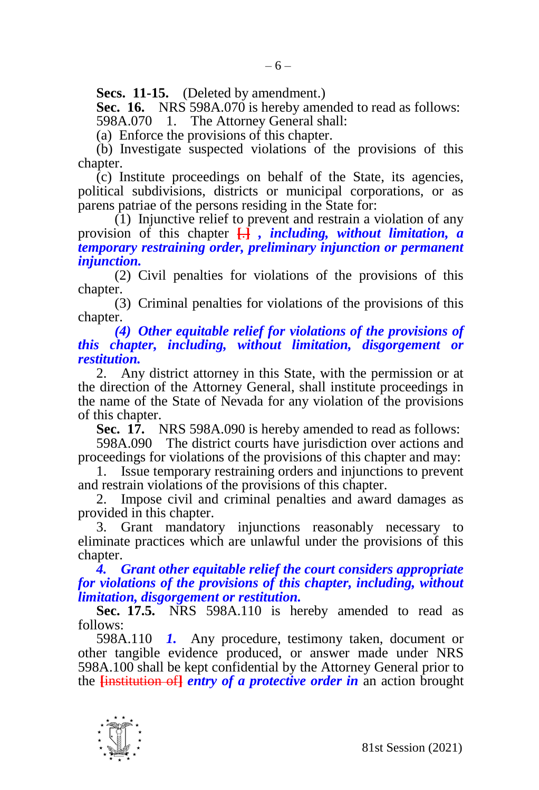**Secs. 11-15.** (Deleted by amendment.)

**Sec. 16.** NRS 598A.070 is hereby amended to read as follows: 598A.070 1. The Attorney General shall:

(a) Enforce the provisions of this chapter.

(b) Investigate suspected violations of the provisions of this chapter.

 $\overline{c}$ ) Institute proceedings on behalf of the State, its agencies, political subdivisions, districts or municipal corporations, or as parens patriae of the persons residing in the State for:

 $(1)$  Injunctive relief to prevent and restrain a violation of any provision of this chapter **[**.**]** *, including, without limitation, a temporary restraining order, preliminary injunction or permanent injunction.*

(2) Civil penalties for violations of the provisions of this chapter.

(3) Criminal penalties for violations of the provisions of this chapter.

*(4) Other equitable relief for violations of the provisions of this chapter, including, without limitation, disgorgement or restitution.*

2. Any district attorney in this State, with the permission or at the direction of the Attorney General, shall institute proceedings in the name of the State of Nevada for any violation of the provisions of this chapter.

**Sec. 17.** NRS 598A.090 is hereby amended to read as follows:

598A.090 The district courts have jurisdiction over actions and proceedings for violations of the provisions of this chapter and may:

1. Issue temporary restraining orders and injunctions to prevent and restrain violations of the provisions of this chapter.

Impose civil and criminal penalties and award damages as provided in this chapter.

3. Grant mandatory injunctions reasonably necessary to eliminate practices which are unlawful under the provisions of this chapter.

*4. Grant other equitable relief the court considers appropriate for violations of the provisions of this chapter, including, without limitation, disgorgement or restitution.*

**Sec. 17.5.** NRS 598A.110 is hereby amended to read as follows:

598A.110 *1.* Any procedure, testimony taken, document or other tangible evidence produced, or answer made under NRS 598A.100 shall be kept confidential by the Attorney General prior to the **[**institution of**]** *entry of a protective order in* an action brought

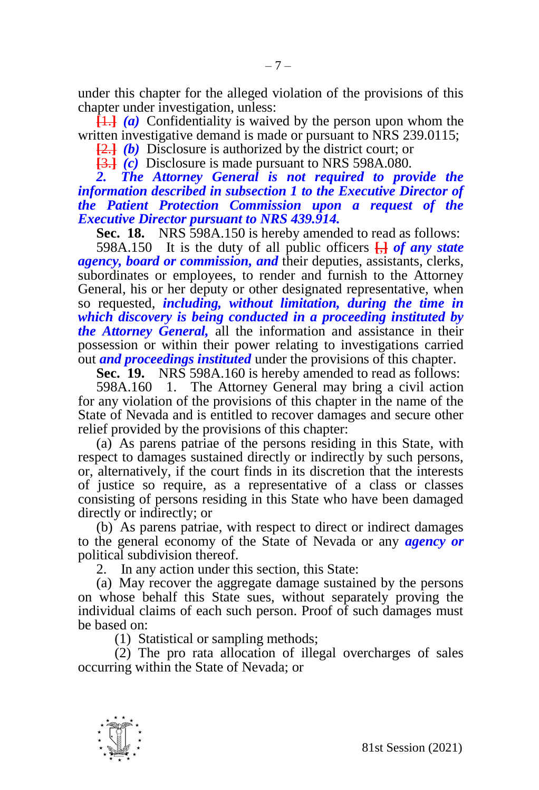under this chapter for the alleged violation of the provisions of this chapter under investigation, unless:

**[**1.**]** *(a)* Confidentiality is waived by the person upon whom the written investigative demand is made or pursuant to NRS 239.0115;

**[**2.**]** *(b)* Disclosure is authorized by the district court; or

**[**3.**]** *(c)* Disclosure is made pursuant to NRS 598A.080.

2. The Attorney General is not required to provide the *information described in subsection 1 to the Executive Director of the Patient Protection Commission upon a request of the Executive Director pursuant to NRS 439.914.*

**Sec. 18.** NRS 598A.150 is hereby amended to read as follows:

598A.150 It is the duty of all public officers **[**,**]** *of any state agency, board or commission, and* their deputies, assistants, clerks, subordinates or employees, to render and furnish to the Attorney General, his or her deputy or other designated representative, when so requested, *including, without limitation, during the time in which discovery is being conducted in a proceeding instituted by the Attorney General,* all the information and assistance in their possession or within their power relating to investigations carried out *and proceedings instituted* under the provisions of this chapter.

**Sec. 19.** NRS 598A.160 is hereby amended to read as follows:

598A.160 1. The Attorney General may bring a civil action for any violation of the provisions of this chapter in the name of the State of Nevada and is entitled to recover damages and secure other relief provided by the provisions of this chapter:

(a) As parens patriae of the persons residing in this State, with respect to damages sustained directly or indirectly by such persons, or, alternatively, if the court finds in its discretion that the interests of justice so require, as a representative of a class or classes consisting of persons residing in this State who have been damaged directly or indirectly; or

(b) As parens patriae, with respect to direct or indirect damages to the general economy of the State of Nevada or any *agency or*  political subdivision thereof.

2. In any action under this section, this State:

(a) May recover the aggregate damage sustained by the persons on whose behalf this State sues, without separately proving the individual claims of each such person. Proof of such damages must be based on:

(1) Statistical or sampling methods;

(2) The pro rata allocation of illegal overcharges of sales occurring within the State of Nevada; or

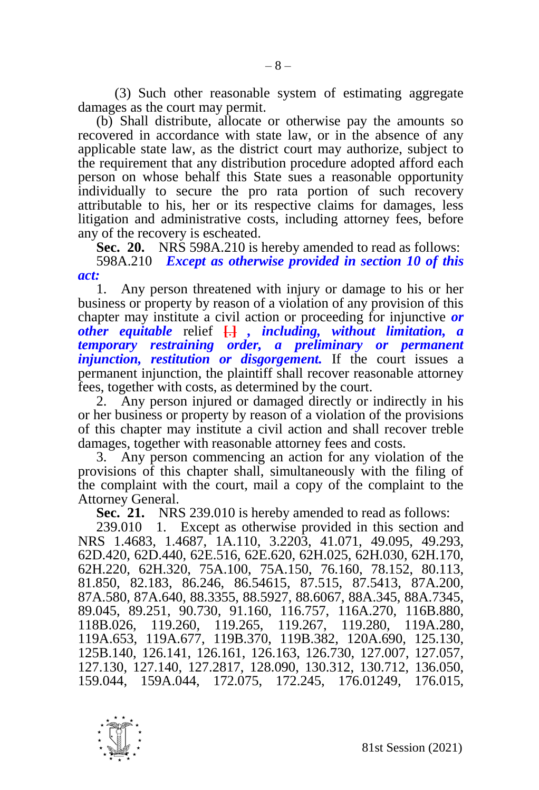(3) Such other reasonable system of estimating aggregate damages as the court may permit.

(b) Shall distribute, allocate or otherwise pay the amounts so recovered in accordance with state law, or in the absence of any applicable state law, as the district court may authorize, subject to the requirement that any distribution procedure adopted afford each person on whose behalf this State sues a reasonable opportunity individually to secure the pro rata portion of such recovery attributable to his, her or its respective claims for damages, less litigation and administrative costs, including attorney fees, before any of the recovery is escheated.

**Sec. 20.** NRS 598A.210 is hereby amended to read as follows: 598A.210 *Except as otherwise provided in section 10 of this* 

*act:*

1. Any person threatened with injury or damage to his or her business or property by reason of a violation of any provision of this chapter may institute a civil action or proceeding for injunctive *or other equitable* relief **[**.**]** *, including, without limitation, a temporary restraining order, a preliminary or permanent injunction, restitution or disgorgement.* If the court issues a permanent injunction, the plaintiff shall recover reasonable attorney fees, together with costs, as determined by the court.

2. Any person injured or damaged directly or indirectly in his or her business or property by reason of a violation of the provisions of this chapter may institute a civil action and shall recover treble damages, together with reasonable attorney fees and costs.

Any person commencing an action for any violation of the provisions of this chapter shall, simultaneously with the filing of the complaint with the court, mail a copy of the complaint to the Attorney General.

**Sec. 21.** NRS 239.010 is hereby amended to read as follows:

239.010 1. Except as otherwise provided in this section and NRS 1.4683, 1.4687, 1A.110, 3.2203, 41.071, 49.095, 49.293, 62D.420, 62D.440, 62E.516, 62E.620, 62H.025, 62H.030, 62H.170, 62H.220, 62H.320, 75A.100, 75A.150, 76.160, 78.152, 80.113, 81.850, 82.183, 86.246, 86.54615, 87.515, 87.5413, 87A.200, 87A.580, 87A.640, 88.3355, 88.5927, 88.6067, 88A.345, 88A.7345, 89.045, 89.251, 90.730, 91.160, 116.757, 116A.270, 116B.880, 119.265, 119.267, 119.280, 119A.280, 119A.653, 119A.677, 119B.370, 119B.382, 120A.690, 125.130, 125B.140, 126.141, 126.161, 126.163, 126.730, 127.007, 127.057, 127.130, 127.140, 127.2817, 128.090, 130.312, 130.712, 136.050, 159.044, 159A.044, 172.075, 172.245, 176.01249, 176.015,

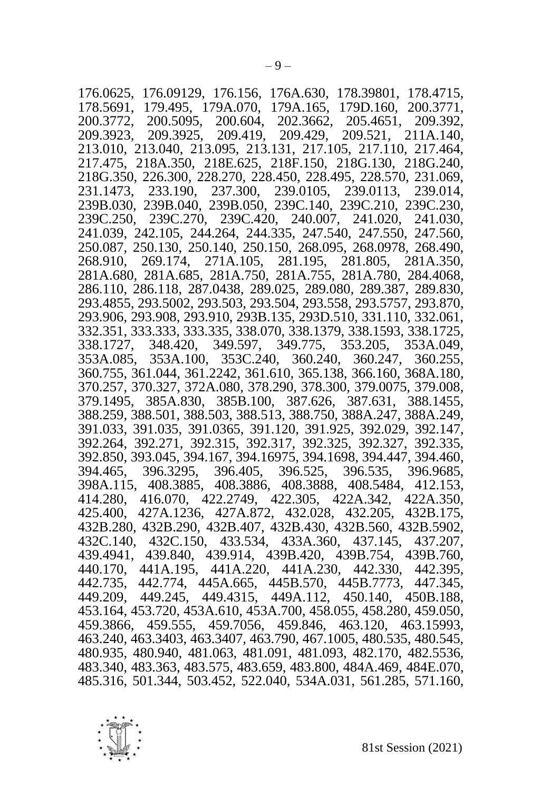176.0625, 176.09129, 176.156, 176A.630, 178.39801, 178.4715, 178.5691, 179.495, 179A.070, 179A.165, 179D.160, 200.3771, 200.3772, 200.5095, 200.604, 202.3662, 205.4651, 209.392, 209.3923, 209.3925, 209.419, 209.429, 209.521, 211A.140, 213.010, 213.040, 213.095, 213.131, 217.105, 217.110, 217.464, 217.475, 218A.350, 218E.625, 218F.150, 218G.130, 218G.240, 218G.350, 226.300, 228.270, 228.450, 228.495, 228.570, 231.069, 231.1473, 233.190, 237.300, 239.0105, 239.0113, 239.014, 239B.030, 239B.040, 239B.050, 239C.140, 239C.210, 239C.230, 239C.250, 239C.270, 239C.420, 240.007, 241.020, 241.030, 241.039, 242.105, 244.264, 244.335, 247.540, 247.550, 247.560, 250.087, 250.130, 250.140, 250.150, 268.095, 268.0978, 268.490, 268.910, 269.174, 271A.105, 281.195, 281.805, 281A.350, 281A.680, 281A.685, 281A.750, 281A.755, 281A.780, 284.4068, 286.110, 286.118, 287.0438, 289.025, 289.080, 289.387, 289.830, 293.4855, 293.5002, 293.503, 293.504, 293.558, 293.5757, 293.870, 293.906, 293.908, 293.910, 293B.135, 293D.510, 331.110, 332.061, 332.351, 333.333, 333.335, 338.070, 338.1379, 338.1593, 338.1725, 338.1727, 348.420, 349.597, 349.775, 353.205, 353A.049, 353A.085, 353A.100, 353C.240, 360.240, 360.247, 360.255, 360.755, 361.044, 361.2242, 361.610, 365.138, 366.160, 368A.180, 370.257, 370.327, 372A.080, 378.290, 378.300, 379.0075, 379.008, 379.1495, 385A.830, 385B.100, 387.626, 387.631, 388.1455, 388.259, 388.501, 388.503, 388.513, 388.750, 388A.247, 388A.249, 391.033, 391.035, 391.0365, 391.120, 391.925, 392.029, 392.147, 392.264, 392.271, 392.315, 392.317, 392.325, 392.327, 392.335, 392.850, 393.045, 394.167, 394.16975, 394.1698, 394.447, 394.460, 394.465, 396.3295, 396.405, 396.525, 396.535, 396.9685, 398A.115, 408.3885, 408.3886, 408.3888, 408.5484, 412.153, 414.280, 416.070, 422.2749, 422.305, 422A.342, 425.400, 427A.1236, 427A.872, 432.028, 432.205, 432B.175, 432B.280, 432B.290, 432B.407, 432B.430, 432B.560, 432B.5902, 432C.140, 432C.150, 433.534, 433A.360, 437.145, 437.207, 439.4941, 439.840, 439.914, 439B.420, 439B.754, 439B.760, 440.170, 441A.195, 441A.220, 441A.230, 442.330, 442.395, 442.735, 442.774, 445A.665, 445B.570, 445B.7773, 447.345, 449.209, 449.245, 449.4315, 449A.112, 450.140, 450B.188, 453.164, 453.720, 453A.610, 453A.700, 458.055, 458.280, 459.050, 459.3866, 459.555, 459.7056, 459.846, 463.120, 463.15993, 463.240, 463.3403, 463.3407, 463.790, 467.1005, 480.535, 480.545, 480.935, 480.940, 481.063, 481.091, 481.093, 482.170, 482.5536, 483.340, 483.363, 483.575, 483.659, 483.800, 484A.469, 484E.070, 485.316, 501.344, 503.452, 522.040, 534A.031, 561.285, 571.160,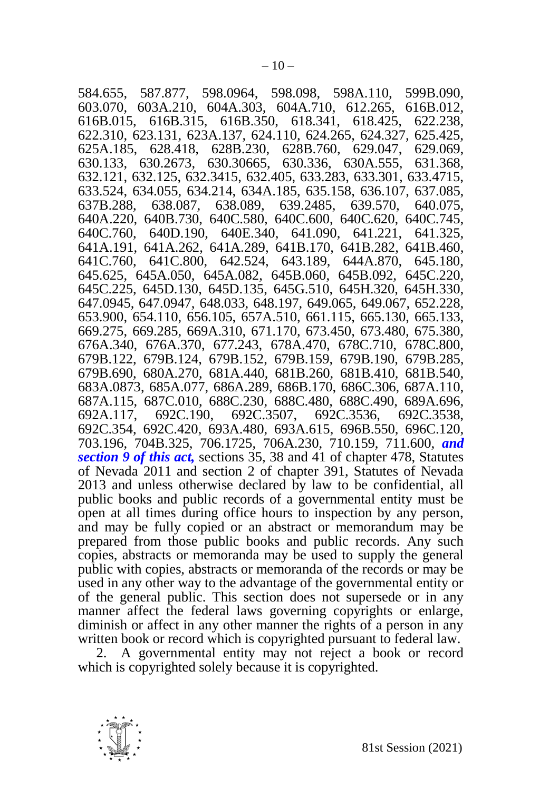584.655, 587.877, 598.0964, 598.098, 598A.110, 599B.090, 603.070, 603A.210, 604A.303, 604A.710, 612.265, 616B.012, 616B.015, 616B.315, 616B.350, 618.341, 618.425, 622.238, 622.310, 623.131, 623A.137, 624.110, 624.265, 624.327, 625.425, 625A.185, 628.418, 628B.230, 628B.760, 629.047, 629.069, 630.133, 630.2673, 630.30665, 630.336, 630A.555, 631.368, 632.121, 632.125, 632.3415, 632.405, 633.283, 633.301, 633.4715, 633.524, 634.055, 634.214, 634A.185, 635.158, 636.107, 637.085, 637B.288, 638.087, 638.089, 639.2485, 639.570, 640.075, 640A.220, 640B.730, 640C.580, 640C.600, 640C.620, 640C.745, 640C.760, 640D.190, 640E.340, 641.090, 641.221, 641.325, 641A.191, 641A.262, 641A.289, 641B.170, 641B.282, 641B.460, 641C.760, 641C.800, 642.524, 643.189, 644A.870, 645.180, 645.625, 645A.050, 645A.082, 645B.060, 645B.092, 645C.220, 645C.225, 645D.130, 645D.135, 645G.510, 645H.320, 645H.330, 647.0945, 647.0947, 648.033, 648.197, 649.065, 649.067, 652.228, 653.900, 654.110, 656.105, 657A.510, 661.115, 665.130, 665.133, 669.275, 669.285, 669A.310, 671.170, 673.450, 673.480, 675.380, 676A.340, 676A.370, 677.243, 678A.470, 678C.710, 678C.800, 679B.122, 679B.124, 679B.152, 679B.159, 679B.190, 679B.285, 679B.690, 680A.270, 681A.440, 681B.260, 681B.410, 681B.540, 683A.0873, 685A.077, 686A.289, 686B.170, 686C.306, 687A.110, 687A.115, 687C.010, 688C.230, 688C.480, 688C.490, 689A.696, 692C.3507, 692C.3536, 692C.3538, 692C.354, 692C.420, 693A.480, 693A.615, 696B.550, 696C.120, 703.196, 704B.325, 706.1725, 706A.230, 710.159, 711.600, *and section 9 of this act,* sections 35, 38 and 41 of chapter 478, Statutes of Nevada 2011 and section 2 of chapter 391, Statutes of Nevada 2013 and unless otherwise declared by law to be confidential, all public books and public records of a governmental entity must be open at all times during office hours to inspection by any person, and may be fully copied or an abstract or memorandum may be prepared from those public books and public records. Any such copies, abstracts or memoranda may be used to supply the general public with copies, abstracts or memoranda of the records or may be used in any other way to the advantage of the governmental entity or of the general public. This section does not supersede or in any manner affect the federal laws governing copyrights or enlarge, diminish or affect in any other manner the rights of a person in any written book or record which is copyrighted pursuant to federal law.

2. A governmental entity may not reject a book or record which is copyrighted solely because it is copyrighted.

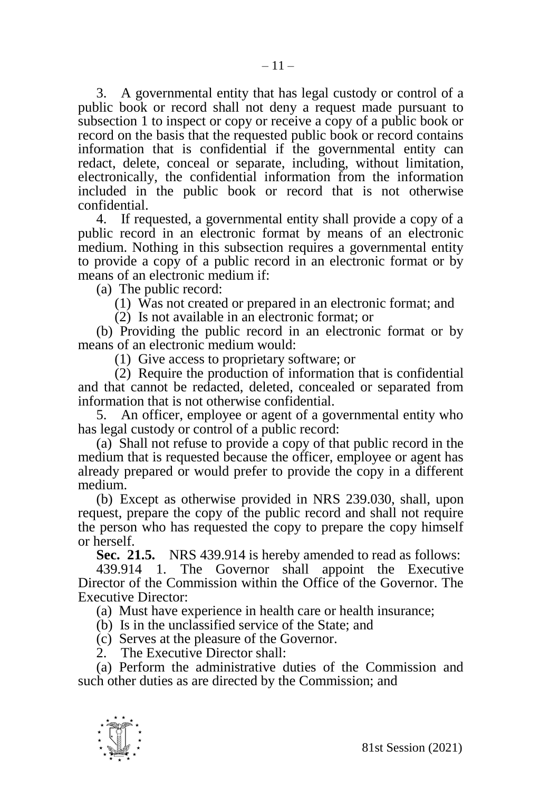3. A governmental entity that has legal custody or control of a public book or record shall not deny a request made pursuant to subsection 1 to inspect or copy or receive a copy of a public book or record on the basis that the requested public book or record contains information that is confidential if the governmental entity can redact, delete, conceal or separate, including, without limitation, electronically, the confidential information from the information included in the public book or record that is not otherwise confidential.

4. If requested, a governmental entity shall provide a copy of a public record in an electronic format by means of an electronic medium. Nothing in this subsection requires a governmental entity to provide a copy of a public record in an electronic format or by means of an electronic medium if:

(a) The public record:

(1) Was not created or prepared in an electronic format; and

(2) Is not available in an electronic format; or

(b) Providing the public record in an electronic format or by means of an electronic medium would:

(1) Give access to proprietary software; or

(2) Require the production of information that is confidential and that cannot be redacted, deleted, concealed or separated from information that is not otherwise confidential.

5. An officer, employee or agent of a governmental entity who has legal custody or control of a public record:

(a) Shall not refuse to provide a copy of that public record in the medium that is requested because the officer, employee or agent has already prepared or would prefer to provide the copy in a different medium.

(b) Except as otherwise provided in NRS 239.030, shall, upon request, prepare the copy of the public record and shall not require the person who has requested the copy to prepare the copy himself or herself.

**Sec. 21.5.** NRS 439.914 is hereby amended to read as follows:

439.914 1. The Governor shall appoint the Executive Director of the Commission within the Office of the Governor. The Executive Director:

(a) Must have experience in health care or health insurance;

(b) Is in the unclassified service of the State; and

(c) Serves at the pleasure of the Governor.

2. The Executive Director shall:

(a) Perform the administrative duties of the Commission and such other duties as are directed by the Commission; and

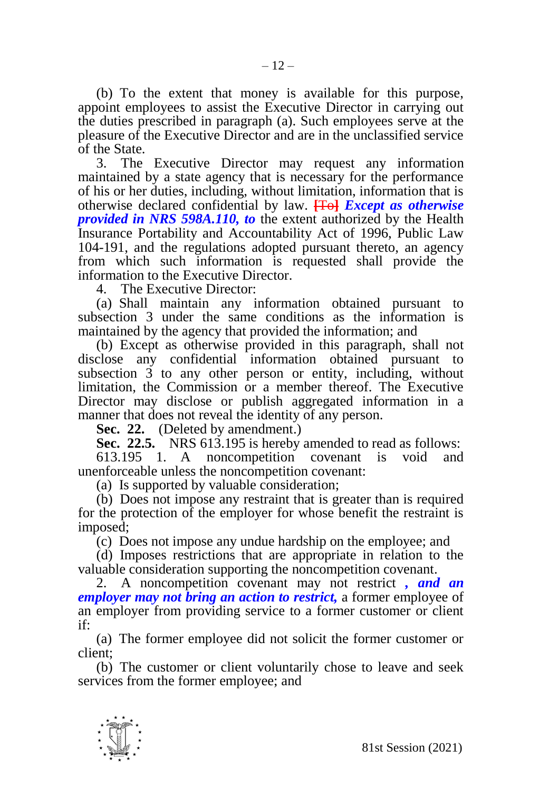(b) To the extent that money is available for this purpose, appoint employees to assist the Executive Director in carrying out the duties prescribed in paragraph (a). Such employees serve at the pleasure of the Executive Director and are in the unclassified service of the State.

3. The Executive Director may request any information maintained by a state agency that is necessary for the performance of his or her duties, including, without limitation, information that is otherwise declared confidential by law. **[**To**]** *Except as otherwise provided in NRS 598A.110, to* the extent authorized by the Health Insurance Portability and Accountability Act of 1996, Public Law 104-191, and the regulations adopted pursuant thereto, an agency from which such information is requested shall provide the information to the Executive Director.

4. The Executive Director:

(a) Shall maintain any information obtained pursuant to subsection 3 under the same conditions as the information is maintained by the agency that provided the information; and

(b) Except as otherwise provided in this paragraph, shall not disclose any confidential information obtained pursuant to subsection 3 to any other person or entity, including, without limitation, the Commission or a member thereof. The Executive Director may disclose or publish aggregated information in a manner that does not reveal the identity of any person.

**Sec. 22.** (Deleted by amendment.)

**Sec. 22.5.** NRS 613.195 is hereby amended to read as follows: 613.195 1. A noncompetition covenant is void and unenforceable unless the noncompetition covenant:

(a) Is supported by valuable consideration;

(b) Does not impose any restraint that is greater than is required for the protection of the employer for whose benefit the restraint is imposed;

(c) Does not impose any undue hardship on the employee; and

(d) Imposes restrictions that are appropriate in relation to the valuable consideration supporting the noncompetition covenant.

2. A noncompetition covenant may not restrict *, and an employer may not bring an action to restrict,* a former employee of an employer from providing service to a former customer or client if:

(a) The former employee did not solicit the former customer or client;

(b) The customer or client voluntarily chose to leave and seek services from the former employee; and

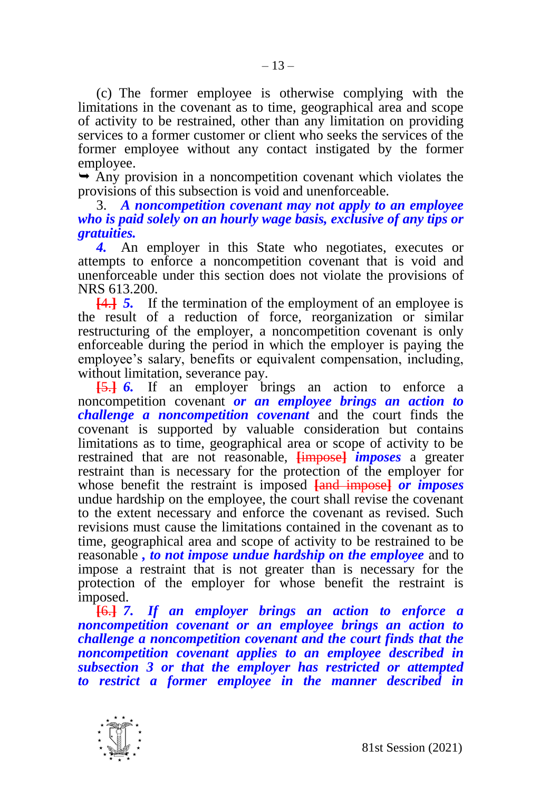(c) The former employee is otherwise complying with the limitations in the covenant as to time, geographical area and scope of activity to be restrained, other than any limitation on providing services to a former customer or client who seeks the services of the former employee without any contact instigated by the former employee.

 $\rightarrow$  Any provision in a noncompetition covenant which violates the provisions of this subsection is void and unenforceable.

3. *A noncompetition covenant may not apply to an employee who is paid solely on an hourly wage basis, exclusive of any tips or gratuities.*

*4.* An employer in this State who negotiates, executes or attempts to enforce a noncompetition covenant that is void and unenforceable under this section does not violate the provisions of NRS 613.200.

**[**4.**]** *5.* If the termination of the employment of an employee is the result of a reduction of force, reorganization or similar restructuring of the employer, a noncompetition covenant is only enforceable during the period in which the employer is paying the employee's salary, benefits or equivalent compensation, including, without limitation, severance pay.

**[**5.**]** *6.* If an employer brings an action to enforce a noncompetition covenant *or an employee brings an action to challenge a noncompetition covenant* and the court finds the covenant is supported by valuable consideration but contains limitations as to time, geographical area or scope of activity to be restrained that are not reasonable, **[**impose**]** *imposes* a greater restraint than is necessary for the protection of the employer for whose benefit the restraint is imposed **[**and impose**]** *or imposes*  undue hardship on the employee, the court shall revise the covenant to the extent necessary and enforce the covenant as revised. Such revisions must cause the limitations contained in the covenant as to time, geographical area and scope of activity to be restrained to be reasonable *, to not impose undue hardship on the employee* and to impose a restraint that is not greater than is necessary for the protection of the employer for whose benefit the restraint is imposed.

**[**6.**]** *7. If an employer brings an action to enforce a noncompetition covenant or an employee brings an action to challenge a noncompetition covenant and the court finds that the noncompetition covenant applies to an employee described in subsection 3 or that the employer has restricted or attempted to restrict a former employee in the manner described in*